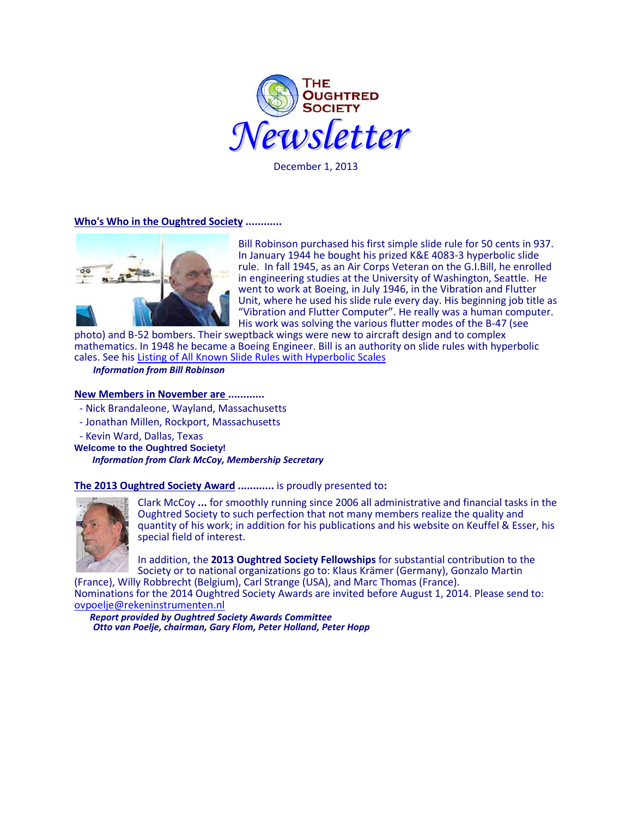

December 1, 2013

### **Who's Who in the Oughtred Society ............**



Bill Robinson purchased his first simple slide rule for 50 cents in 937. In January 1944 he bought his prized K&E 4083-3 hyperbolic slide rule. In fall 1945, as an Air Corps Veteran on the G.I.Bill, he enrolled in engineering studies at the University of Washington, Seattle. He went to work at Boeing, in July 1946, in the Vibration and Flutter Unit, where he used his slide rule every day. His beginning job title as "Vibration and Flutter Computer". He really was a human computer. His work was solving the various flutter modes of the B-47 (see

photo) and B-52 bombers. Their sweptback wings were new to aircraft design and to complex mathematics. In 1948 he became a Boeing Engineer. Bill is an authority on slide rules with hyperbolic cales. See his [Listing of All Known Slide Rules with Hyperbolic Scales](http://ww2.hyperbolicsliderules.com:8110/Documents/SlideRuleList.xls)

 *Information from Bill Robinson*

### **New Members in November are ............**

- Nick Brandaleone, Wayland, Massachusetts
- Jonathan Millen, Rockport, Massachusetts
- Kevin Ward, Dallas, Texas
- **Welcome to the Oughtred Society!**

*Information from Clark McCoy, Membership Secretary*

**The 2013 Oughtred Society Award ............** is proudly presented to**:**



Clark McCoy **...** for smoothly running since 2006 all administrative and financial tasks in the Oughtred Society to such perfection that not many members realize the quality and quantity of his work; in addition for his publications and his website on Keuffel & Esser, his special field of interest.

In addition, the **2013 Oughtred Society Fellowships** for substantial contribution to the Society or to national organizations go to: Klaus Krämer (Germany), Gonzalo Martin

(France), Willy Robbrecht (Belgium), Carl Strange (USA), and Marc Thomas (France). Nominations for the 2014 Oughtred Society Awards are invited before August 1, 2014. Please send to: [ovpoelje@rekeninstrumenten.nl](mailto:ovpoelje@rekeninstrumenten.nl)<br>Report provided by Oughtred Society Awards Committee

*Otto van Poelje, chairman, Gary Flom, Peter Holland, Peter Hopp*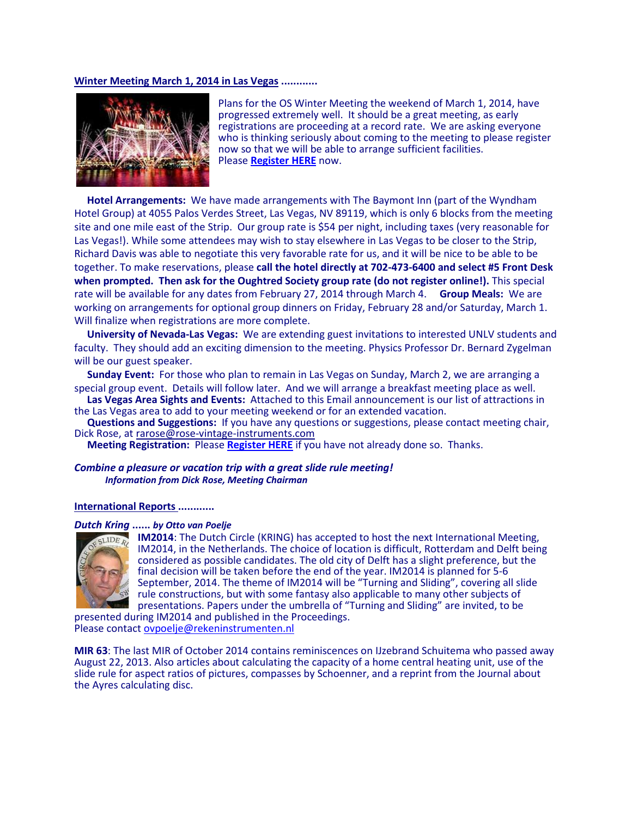### **Winter Meeting March 1, 2014 in Las Vegas ............**



Plans for the OS Winter Meeting the weekend of March 1, 2014, have progressed extremely well. It should be a great meeting, as early registrations are proceeding at a record rate. We are asking everyone who is thinking seriously about coming to the meeting to please register now so that we will be able to arrange sufficient facilities. Please **[Register HERE](http://www.oughtred.org/WinterMeeting_2014.shtml)** now.

 **Hotel Arrangements:** We have made arrangements with The Baymont Inn (part of the Wyndham Hotel Group) at 4055 Palos Verdes Street, Las Vegas, NV 89119, which is only 6 blocks from the meeting site and one mile east of the Strip. Our group rate is \$54 per night, including taxes (very reasonable for Las Vegas!). While some attendees may wish to stay elsewhere in Las Vegas to be closer to the Strip, Richard Davis was able to negotiate this very favorable rate for us, and it will be nice to be able to be together. To make reservations, please **call the hotel directly at 702-473-6400 and select #5 Front Desk when prompted. Then ask for the Oughtred Society group rate (do not register online!).** This special rate will be available for any dates from February 27, 2014 through March 4. **Group Meals:** We are working on arrangements for optional group dinners on Friday, February 28 and/or Saturday, March 1. Will finalize when registrations are more complete.

 **University of Nevada-Las Vegas:** We are extending guest invitations to interested UNLV students and faculty. They should add an exciting dimension to the meeting. Physics Professor Dr. Bernard Zygelman will be our guest speaker.

 **Sunday Event:** For those who plan to remain in Las Vegas on Sunday, March 2, we are arranging a special group event. Details will follow later. And we will arrange a breakfast meeting place as well.

**Las Vegas Area Sights and Events:** Attached to this Email announcement is our list of attractions in the Las Vegas area to add to your meeting weekend or for an extended vacation.

**Questions and Suggestions:** If you have any questions or suggestions, please contact meeting chair, Dick Rose, a[t rarose@rose-vintage-instruments.com](mailto:rarose@rose-vintage-instruments.com) 

 **Meeting Registration:** Please **[Register HERE](http://www.oughtred.org/WinterMeeting_2014.shtml)** if you have not already done so. Thanks.

*Combine a pleasure or vacation trip with a great slide rule meeting! Information from Dick Rose, Meeting Chairman*

#### **International Reports ............**

#### *Dutch Kring* **......** *by Otto van Poelje*



**IM2014**: The Dutch Circle (KRING) has accepted to host the next International Meeting, IM2014, in the Netherlands. The choice of location is difficult, Rotterdam and Delft being considered as possible candidates. The old city of Delft has a slight preference, but the final decision will be taken before the end of the year. IM2014 is planned for 5-6 September, 2014. The theme of IM2014 will be "Turning and Sliding", covering all slide rule constructions, but with some fantasy also applicable to many other subjects of presentations. Papers under the umbrella of "Turning and Sliding" are invited, to be

presented during IM2014 and published in the Proceedings. Please contact [ovpoelje@rekeninstrumenten.nl](mailto:ovpoelje@rekeninstrumenten.nl)

**MIR 63**: The last MIR of October 2014 contains reminiscences on IJzebrand Schuitema who passed away August 22, 2013. Also articles about calculating the capacity of a home central heating unit, use of the slide rule for aspect ratios of pictures, compasses by Schoenner, and a reprint from the Journal about the Ayres calculating disc.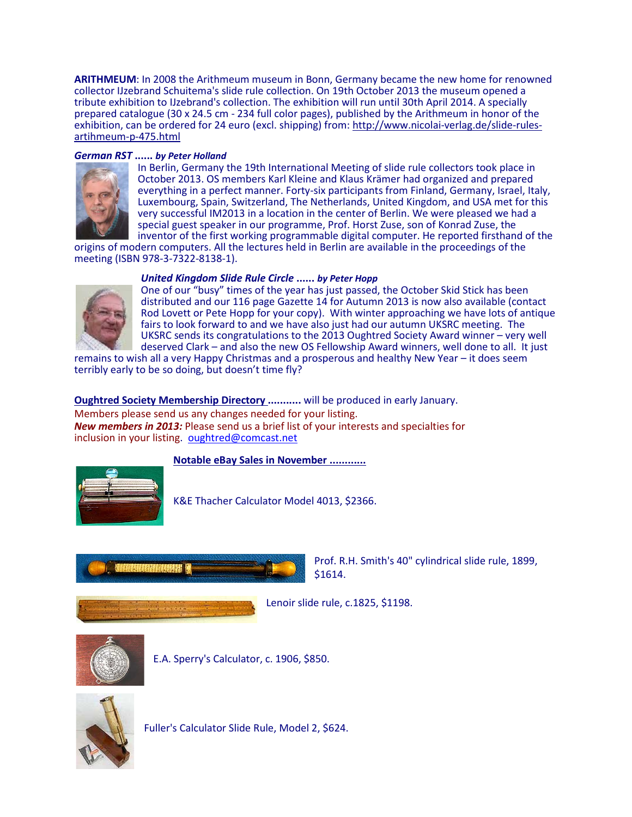**ARITHMEUM**: In 2008 the Arithmeum museum in Bonn, Germany became the new home for renowned collector IJzebrand Schuitema's slide rule collection. On 19th October 2013 the museum opened a tribute exhibition to IJzebrand's collection. The exhibition will run until 30th April 2014. A specially prepared catalogue (30 x 24.5 cm - 234 full color pages), published by the Arithmeum in honor of the exhibition, can be ordered for 24 euro (excl. shipping) from[: http://www.nicolai-verlag.de/slide-rules-](http://www.nicolai-verlag.de/slide-rules-artihmeum-p-475.html)<br>[artihmeum-p-475.html](http://www.nicolai-verlag.de/slide-rules-artihmeum-p-475.html)

## *German RST* **......** *by Peter Holland*



In Berlin, Germany the 19th International Meeting of slide rule collectors took place in October 2013. OS members Karl Kleine and Klaus Krämer had organized and prepared everything in a perfect manner. Forty-six participants from Finland, Germany, Israel, Italy, Luxembourg, Spain, Switzerland, The Netherlands, United Kingdom, and USA met for this very successful IM2013 in a location in the center of Berlin. We were pleased we had a special guest speaker in our programme, Prof. Horst Zuse, son of Konrad Zuse, the inventor of the first working programmable digital computer. He reported firsthand of the

origins of modern computers. All the lectures held in Berlin are available in the proceedings of the meeting (ISBN 978-3-7322-8138-1).

# *United Kingdom Slide Rule Circle* **......** *by Peter Hopp*



One of our "busy" times of the year has just passed, the October Skid Stick has been distributed and our 116 page Gazette 14 for Autumn 2013 is now also available (contact Rod Lovett or Pete Hopp for your copy). With winter approaching we have lots of antique fairs to look forward to and we have also just had our autumn UKSRC meeting. The UKSRC sends its congratulations to the 2013 Oughtred Society Award winner – very well deserved Clark – and also the new OS Fellowship Award winners, well done to all. It just

remains to wish all a very Happy Christmas and a prosperous and healthy New Year – it does seem terribly early to be so doing, but doesn't time fly?

**Oughtred Society Membership Directory ...........** will be produced in early January.

Members please send us any changes needed for your listing. *New members in 2013:* Please send us a brief list of your interests and specialties for inclusion in your listing. oughtred@comcast.net

**Notable eBay Sales in November ............**



K&E Thacher Calculator Model 4013, \$2366.



Prof. R.H. Smith's 40" cylindrical slide rule, 1899, \$1614.



Lenoir slide rule, c.1825, \$1198.



E.A. Sperry's Calculator, c. 1906, \$850.



Fuller's Calculator Slide Rule, Model 2, \$624.